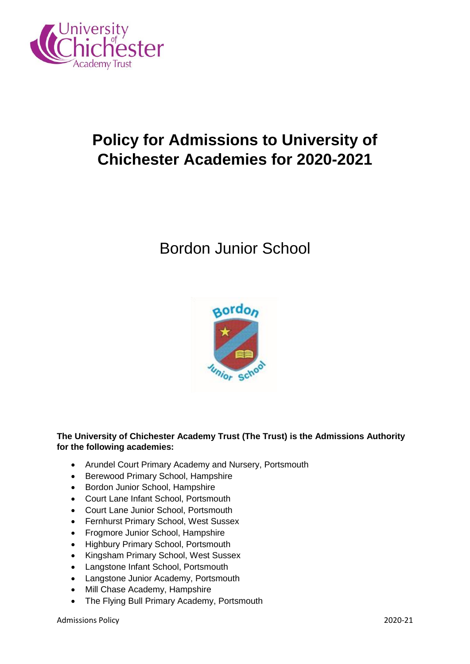

# **Policy for Admissions to University of Chichester Academies for 2020-2021**

## Bordon Junior School



## **The University of Chichester Academy Trust (The Trust) is the Admissions Authority for the following academies:**

- Arundel Court Primary Academy and Nursery, Portsmouth
- Berewood Primary School, Hampshire
- Bordon Junior School, Hampshire
- Court Lane Infant School, Portsmouth
- Court Lane Junior School, Portsmouth
- Fernhurst Primary School, West Sussex
- Frogmore Junior School, Hampshire
- Highbury Primary School, Portsmouth
- Kingsham Primary School, West Sussex
- Langstone Infant School, Portsmouth
- Langstone Junior Academy, Portsmouth
- Mill Chase Academy, Hampshire
- The Flying Bull Primary Academy, Portsmouth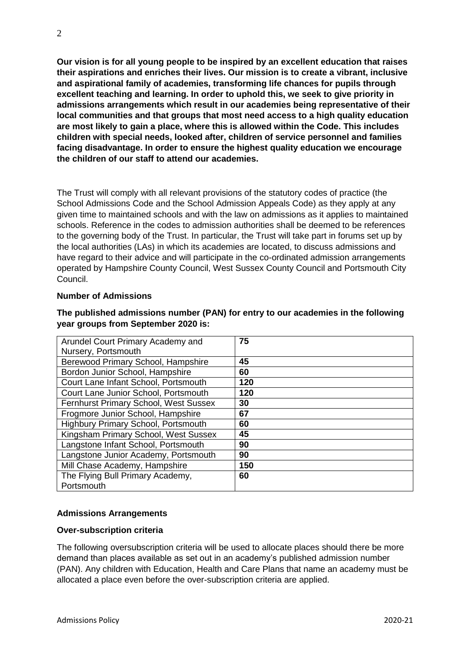**Our vision is for all young people to be inspired by an excellent education that raises their aspirations and enriches their lives. Our mission is to create a vibrant, inclusive and aspirational family of academies, transforming life chances for pupils through excellent teaching and learning. In order to uphold this, we seek to give priority in admissions arrangements which result in our academies being representative of their local communities and that groups that most need access to a high quality education are most likely to gain a place, where this is allowed within the Code. This includes children with special needs, looked after, children of service personnel and families facing disadvantage. In order to ensure the highest quality education we encourage the children of our staff to attend our academies.** 

The Trust will comply with all relevant provisions of the statutory codes of practice (the School Admissions Code and the School Admission Appeals Code) as they apply at any given time to maintained schools and with the law on admissions as it applies to maintained schools. Reference in the codes to admission authorities shall be deemed to be references to the governing body of the Trust. In particular, the Trust will take part in forums set up by the local authorities (LAs) in which its academies are located, to discuss admissions and have regard to their advice and will participate in the co-ordinated admission arrangements operated by Hampshire County Council, West Sussex County Council and Portsmouth City Council.

## **Number of Admissions**

| Arundel Court Primary Academy and          | 75  |
|--------------------------------------------|-----|
| Nursery, Portsmouth                        |     |
| Berewood Primary School, Hampshire         | 45  |
| Bordon Junior School, Hampshire            | 60  |
| Court Lane Infant School, Portsmouth       | 120 |
| Court Lane Junior School, Portsmouth       | 120 |
| Fernhurst Primary School, West Sussex      | 30  |
| Frogmore Junior School, Hampshire          | 67  |
| <b>Highbury Primary School, Portsmouth</b> | 60  |
| Kingsham Primary School, West Sussex       | 45  |
| Langstone Infant School, Portsmouth        | 90  |
| Langstone Junior Academy, Portsmouth       | 90  |
| Mill Chase Academy, Hampshire              | 150 |
| The Flying Bull Primary Academy,           | 60  |
| Portsmouth                                 |     |

## **The published admissions number (PAN) for entry to our academies in the following year groups from September 2020 is:**

## **Admissions Arrangements**

#### **Over-subscription criteria**

The following oversubscription criteria will be used to allocate places should there be more demand than places available as set out in an academy's published admission number (PAN). Any children with Education, Health and Care Plans that name an academy must be allocated a place even before the over-subscription criteria are applied.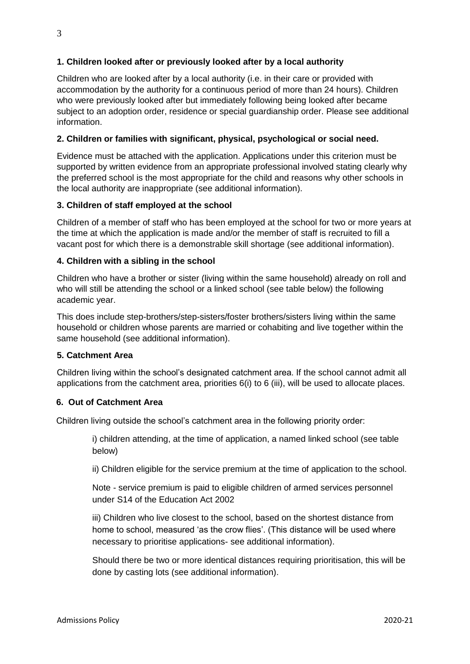## **1. Children looked after or previously looked after by a local authority**

Children who are looked after by a local authority (i.e. in their care or provided with accommodation by the authority for a continuous period of more than 24 hours). Children who were previously looked after but immediately following being looked after became subject to an adoption order, residence or special guardianship order. Please see additional information.

## **2. Children or families with significant, physical, psychological or social need.**

Evidence must be attached with the application. Applications under this criterion must be supported by written evidence from an appropriate professional involved stating clearly why the preferred school is the most appropriate for the child and reasons why other schools in the local authority are inappropriate (see additional information).

## **3. Children of staff employed at the school**

Children of a member of staff who has been employed at the school for two or more years at the time at which the application is made and/or the member of staff is recruited to fill a vacant post for which there is a demonstrable skill shortage (see additional information).

## **4. Children with a sibling in the school**

Children who have a brother or sister (living within the same household) already on roll and who will still be attending the school or a linked school (see table below) the following academic year.

This does include step-brothers/step-sisters/foster brothers/sisters living within the same household or children whose parents are married or cohabiting and live together within the same household (see additional information).

## **5. Catchment Area**

Children living within the school's designated catchment area. If the school cannot admit all applications from the catchment area, priorities 6(i) to 6 (iii), will be used to allocate places.

## **6. Out of Catchment Area**

Children living outside the school's catchment area in the following priority order:

i) children attending, at the time of application, a named linked school (see table below)

ii) Children eligible for the service premium at the time of application to the school.

Note - service premium is paid to eligible children of armed services personnel under S14 of the Education Act 2002

iii) Children who live closest to the school, based on the shortest distance from home to school, measured 'as the crow flies'. (This distance will be used where necessary to prioritise applications- see additional information).

Should there be two or more identical distances requiring prioritisation, this will be done by casting lots (see additional information).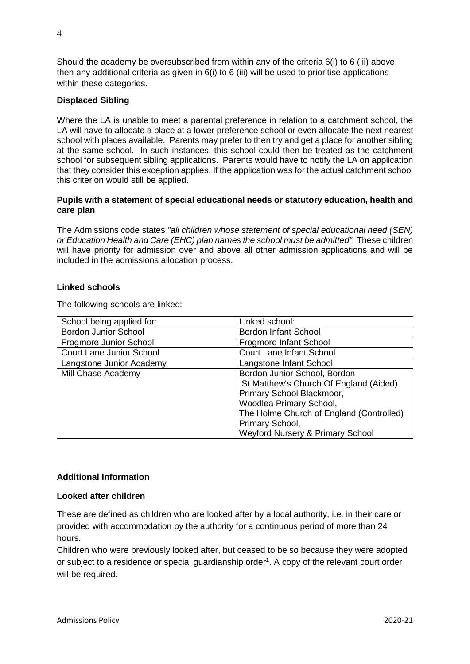Should the academy be oversubscribed from within any of the criteria 6(i) to 6 (iii) above, then any additional criteria as given in  $6(i)$  to 6 (iii) will be used to prioritise applications within these categories.

## **Displaced Sibling**

Where the LA is unable to meet a parental preference in relation to a catchment school, the LA will have to allocate a place at a lower preference school or even allocate the next nearest school with places available. Parents may prefer to then try and get a place for another sibling at the same school. In such instances, this school could then be treated as the catchment school for subsequent sibling applications. Parents would have to notify the LA on application that they consider this exception applies. If the application was for the actual catchment school this criterion would still be applied.

#### **Pupils with a statement of special educational needs or statutory education, health and care plan**

The Admissions code states *"all children whose statement of special educational need (SEN) or Education Health and Care (EHC) plan names the school must be admitted".* These children will have priority for admission over and above all other admission applications and will be included in the admissions allocation process.

#### **Linked schools**

The following schools are linked:

| School being applied for:       | Linked school:                              |
|---------------------------------|---------------------------------------------|
| <b>Bordon Junior School</b>     | <b>Bordon Infant School</b>                 |
| Frogmore Junior School          | Frogmore Infant School                      |
| <b>Court Lane Junior School</b> | <b>Court Lane Infant School</b>             |
| Langstone Junior Academy        | Langstone Infant School                     |
| Mill Chase Academy              | Bordon Junior School, Bordon                |
|                                 | St Matthew's Church Of England (Aided)      |
|                                 | Primary School Blackmoor,                   |
|                                 | Woodlea Primary School,                     |
|                                 | The Holme Church of England (Controlled)    |
|                                 | Primary School,                             |
|                                 | <b>Weyford Nursery &amp; Primary School</b> |

#### **Additional Information**

#### **Looked after children**

These are defined as children who are looked after by a local authority, i.e. in their care or provided with accommodation by the authority for a continuous period of more than 24 hours.

Children who were previously looked after, but ceased to be so because they were adopted or subject to a residence or special guardianship order<sup>1</sup>. A copy of the relevant court order will be required.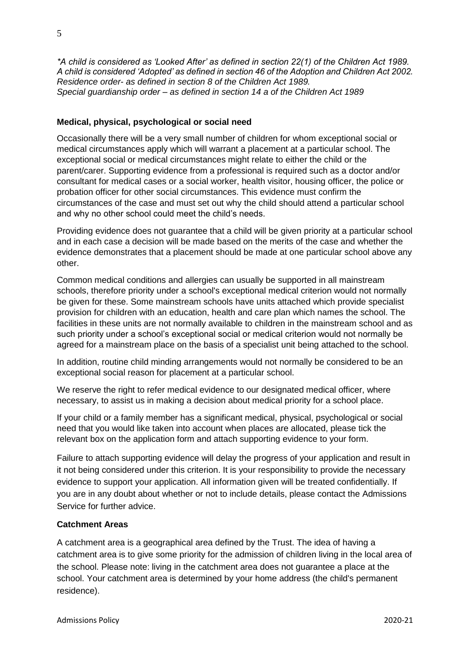*\*A child is considered as 'Looked After' as defined in section 22(1) of the Children Act 1989. A child is considered 'Adopted' as defined in section 46 of the Adoption and Children Act 2002. Residence order- as defined in section 8 of the Children Act 1989. Special guardianship order – as defined in section 14 a of the Children Act 1989* 

## **Medical, physical, psychological or social need**

Occasionally there will be a very small number of children for whom exceptional social or medical circumstances apply which will warrant a placement at a particular school. The exceptional social or medical circumstances might relate to either the child or the parent/carer. Supporting evidence from a professional is required such as a doctor and/or consultant for medical cases or a social worker, health visitor, housing officer, the police or probation officer for other social circumstances. This evidence must confirm the circumstances of the case and must set out why the child should attend a particular school and why no other school could meet the child's needs.

Providing evidence does not guarantee that a child will be given priority at a particular school and in each case a decision will be made based on the merits of the case and whether the evidence demonstrates that a placement should be made at one particular school above any other.

Common medical conditions and allergies can usually be supported in all mainstream schools, therefore priority under a school's exceptional medical criterion would not normally be given for these. Some mainstream schools have units attached which provide specialist provision for children with an education, health and care plan which names the school. The facilities in these units are not normally available to children in the mainstream school and as such priority under a school's exceptional social or medical criterion would not normally be agreed for a mainstream place on the basis of a specialist unit being attached to the school.

In addition, routine child minding arrangements would not normally be considered to be an exceptional social reason for placement at a particular school.

We reserve the right to refer medical evidence to our designated medical officer, where necessary, to assist us in making a decision about medical priority for a school place.

If your child or a family member has a significant medical, physical, psychological or social need that you would like taken into account when places are allocated, please tick the relevant box on the application form and attach supporting evidence to your form.

Failure to attach supporting evidence will delay the progress of your application and result in it not being considered under this criterion. It is your responsibility to provide the necessary evidence to support your application. All information given will be treated confidentially. If you are in any doubt about whether or not to include details, please contact the Admissions Service for further advice.

#### **Catchment Areas**

A catchment area is a geographical area defined by the Trust. The idea of having a catchment area is to give some priority for the admission of children living in the local area of the school. Please note: living in the catchment area does not guarantee a place at the school. Your catchment area is determined by your home address (the child's permanent residence).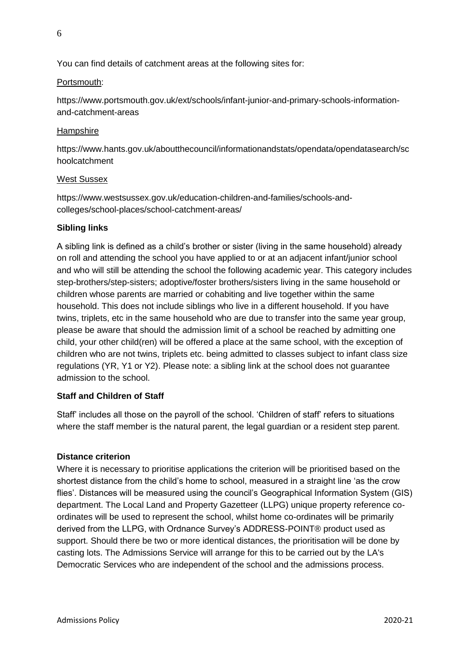You can find details of catchment areas at the following sites for:

## Portsmouth:

https://www.portsmouth.gov.uk/ext/schools/infant-junior-and-primary-schools-informationand-catchment-areas

## **Hampshire**

https://www.hants.gov.uk/aboutthecouncil/informationandstats/opendata/opendatasearch/sc hoolcatchment

## West Sussex

https://www.westsussex.gov.uk/education-children-and-families/schools-andcolleges/school-places/school-catchment-areas/

## **Sibling links**

A sibling link is defined as a child's brother or sister (living in the same household) already on roll and attending the school you have applied to or at an adjacent infant/junior school and who will still be attending the school the following academic year. This category includes step-brothers/step-sisters; adoptive/foster brothers/sisters living in the same household or children whose parents are married or cohabiting and live together within the same household. This does not include siblings who live in a different household. If you have twins, triplets, etc in the same household who are due to transfer into the same year group, please be aware that should the admission limit of a school be reached by admitting one child, your other child(ren) will be offered a place at the same school, with the exception of children who are not twins, triplets etc. being admitted to classes subject to infant class size regulations (YR, Y1 or Y2). Please note: a sibling link at the school does not guarantee admission to the school.

## **Staff and Children of Staff**

Staff' includes all those on the payroll of the school. 'Children of staff' refers to situations where the staff member is the natural parent, the legal guardian or a resident step parent.

## **Distance criterion**

Where it is necessary to prioritise applications the criterion will be prioritised based on the shortest distance from the child's home to school, measured in a straight line 'as the crow flies'. Distances will be measured using the council's Geographical Information System (GIS) department. The Local Land and Property Gazetteer (LLPG) unique property reference coordinates will be used to represent the school, whilst home co-ordinates will be primarily derived from the LLPG, with Ordnance Survey's ADDRESS-POINT® product used as support. Should there be two or more identical distances, the prioritisation will be done by casting lots. The Admissions Service will arrange for this to be carried out by the LA's Democratic Services who are independent of the school and the admissions process.